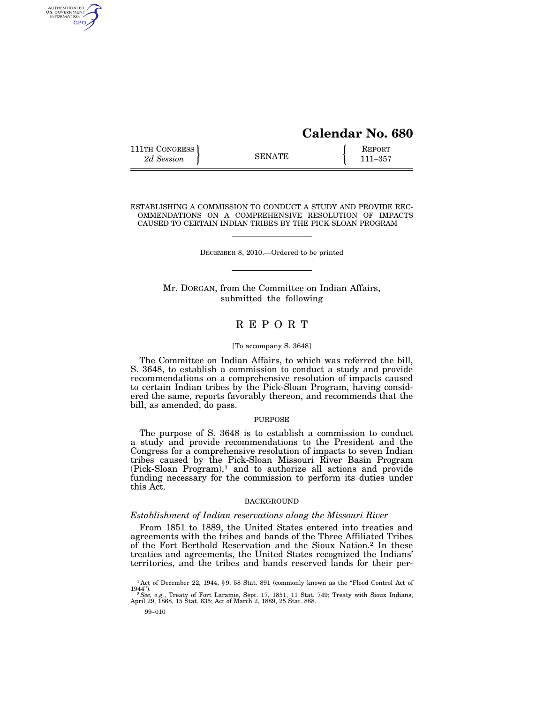# **Calendar No. 680**

111TH CONGRESS **REPORT** 2d Session **111 EXECUTE 111**–357

AUTHENTICATED<br>U.S. GOVERNMENT<br>INFORMATION GPO

ESTABLISHING A COMMISSION TO CONDUCT A STUDY AND PROVIDE REC-OMMENDATIONS ON A COMPREHENSIVE RESOLUTION OF IMPACTS CAUSED TO CERTAIN INDIAN TRIBES BY THE PICK-SLOAN PROGRAM

DECEMBER 8, 2010.—Ordered to be printed

Mr. DORGAN, from the Committee on Indian Affairs, submitted the following

## R E P O R T

#### [To accompany S. 3648]

The Committee on Indian Affairs, to which was referred the bill, S. 3648, to establish a commission to conduct a study and provide recommendations on a comprehensive resolution of impacts caused to certain Indian tribes by the Pick-Sloan Program, having considered the same, reports favorably thereon, and recommends that the bill, as amended, do pass.

#### PURPOSE

The purpose of S. 3648 is to establish a commission to conduct a study and provide recommendations to the President and the Congress for a comprehensive resolution of impacts to seven Indian tribes caused by the Pick-Sloan Missouri River Basin Program  $(Pick-Sloan Program),<sup>1</sup>$  and to authorize all actions and provide funding necessary for the commission to perform its duties under this Act.

#### BACKGROUND

## *Establishment of Indian reservations along the Missouri River*

From 1851 to 1889, the United States entered into treaties and agreements with the tribes and bands of the Three Affiliated Tribes of the Fort Berthold Reservation and the Sioux Nation.2 In these treaties and agreements, the United States recognized the Indians' territories, and the tribes and bands reserved lands for their per-

 $^1$  Act of December 22, 1944, § 9, 58 Stat. 891 (commonly known as the "Flood Control Act of 1944").

<sup>1944&#</sup>x27;'). 2*See, e.g.*, Treaty of Fort Laramie, Sept. 17, 1851, 11 Stat. 749; Treaty with Sioux Indians, April 29, 1868, 15 Stat. 635; Act of March 2, 1889, 25 Stat. 888.

<sup>99–010</sup>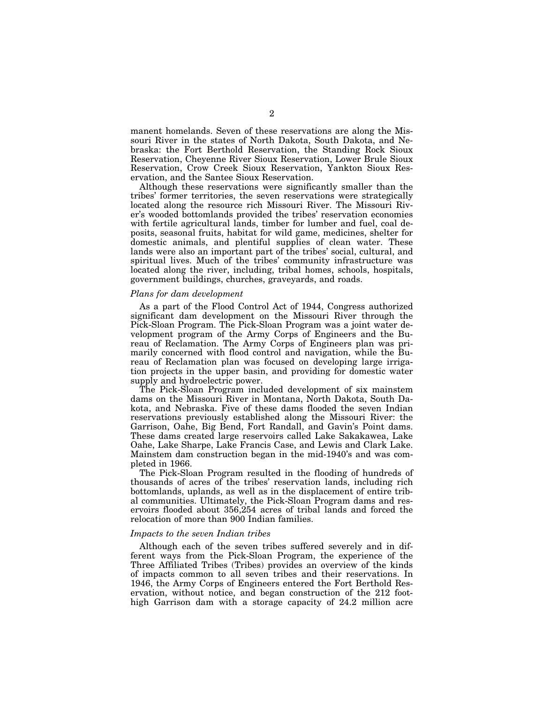manent homelands. Seven of these reservations are along the Missouri River in the states of North Dakota, South Dakota, and Nebraska: the Fort Berthold Reservation, the Standing Rock Sioux Reservation, Cheyenne River Sioux Reservation, Lower Brule Sioux Reservation, Crow Creek Sioux Reservation, Yankton Sioux Reservation, and the Santee Sioux Reservation.

Although these reservations were significantly smaller than the tribes' former territories, the seven reservations were strategically located along the resource rich Missouri River. The Missouri River's wooded bottomlands provided the tribes' reservation economies with fertile agricultural lands, timber for lumber and fuel, coal deposits, seasonal fruits, habitat for wild game, medicines, shelter for domestic animals, and plentiful supplies of clean water. These lands were also an important part of the tribes' social, cultural, and spiritual lives. Much of the tribes' community infrastructure was located along the river, including, tribal homes, schools, hospitals, government buildings, churches, graveyards, and roads.

## *Plans for dam development*

As a part of the Flood Control Act of 1944, Congress authorized significant dam development on the Missouri River through the Pick-Sloan Program. The Pick-Sloan Program was a joint water development program of the Army Corps of Engineers and the Bureau of Reclamation. The Army Corps of Engineers plan was primarily concerned with flood control and navigation, while the Bureau of Reclamation plan was focused on developing large irrigation projects in the upper basin, and providing for domestic water supply and hydroelectric power.

The Pick-Sloan Program included development of six mainstem dams on the Missouri River in Montana, North Dakota, South Dakota, and Nebraska. Five of these dams flooded the seven Indian reservations previously established along the Missouri River: the Garrison, Oahe, Big Bend, Fort Randall, and Gavin's Point dams. These dams created large reservoirs called Lake Sakakawea, Lake Oahe, Lake Sharpe, Lake Francis Case, and Lewis and Clark Lake. Mainstem dam construction began in the mid-1940's and was completed in 1966.

The Pick-Sloan Program resulted in the flooding of hundreds of thousands of acres of the tribes' reservation lands, including rich bottomlands, uplands, as well as in the displacement of entire tribal communities. Ultimately, the Pick-Sloan Program dams and reservoirs flooded about 356,254 acres of tribal lands and forced the relocation of more than 900 Indian families.

## *Impacts to the seven Indian tribes*

Although each of the seven tribes suffered severely and in different ways from the Pick-Sloan Program, the experience of the Three Affiliated Tribes (Tribes) provides an overview of the kinds of impacts common to all seven tribes and their reservations. In 1946, the Army Corps of Engineers entered the Fort Berthold Reservation, without notice, and began construction of the 212 foothigh Garrison dam with a storage capacity of 24.2 million acre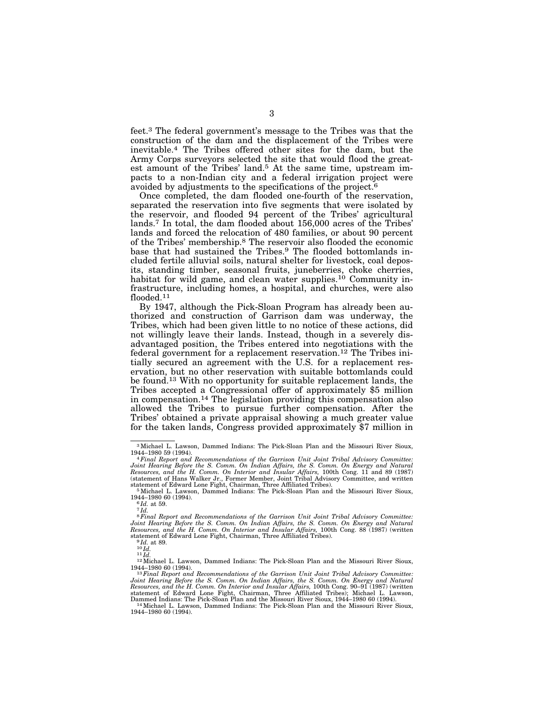feet.3 The federal government's message to the Tribes was that the construction of the dam and the displacement of the Tribes were inevitable.4 The Tribes offered other sites for the dam, but the Army Corps surveyors selected the site that would flood the greatest amount of the Tribes' land.<sup>5</sup> At the same time, upstream impacts to a non-Indian city and a federal irrigation project were avoided by adjustments to the specifications of the project.6

Once completed, the dam flooded one-fourth of the reservation, separated the reservation into five segments that were isolated by the reservoir, and flooded 94 percent of the Tribes' agricultural lands.7 In total, the dam flooded about 156,000 acres of the Tribes' lands and forced the relocation of 480 families, or about 90 percent of the Tribes' membership.8 The reservoir also flooded the economic base that had sustained the Tribes.9 The flooded bottomlands included fertile alluvial soils, natural shelter for livestock, coal deposits, standing timber, seasonal fruits, juneberries, choke cherries, habitat for wild game, and clean water supplies.<sup>10</sup> Community infrastructure, including homes, a hospital, and churches, were also flooded.11

By 1947, although the Pick-Sloan Program has already been authorized and construction of Garrison dam was underway, the Tribes, which had been given little to no notice of these actions, did not willingly leave their lands. Instead, though in a severely disadvantaged position, the Tribes entered into negotiations with the federal government for a replacement reservation.12 The Tribes initially secured an agreement with the U.S. for a replacement reservation, but no other reservation with suitable bottomlands could be found.13 With no opportunity for suitable replacement lands, the Tribes accepted a Congressional offer of approximately \$5 million in compensation.14 The legislation providing this compensation also allowed the Tribes to pursue further compensation. After the Tribes' obtained a private appraisal showing a much greater value for the taken lands, Congress provided approximately \$7 million in

 $^3$ Michael L. Lawson, Dammed Indians: The Pick-Sloan Plan and the Missouri River Sioux, 1944–1980 $59\ (1994)$ .

<sup>1944–1980 59 (1994). 4</sup>*Final Report and Recommendations of the Garrison Unit Joint Tribal Advisory Committee: Joint Hearing Before the S. Comm. On Indian Affairs, the S. Comm. On Energy and Natural Resources, and the H. Comm. On Interior and Insular Affairs,* 100th Cong. 11 and 89 (1987) (statement of Hans Walker Jr., Former Member, Joint Tribal Advisory Committee, and written

statement of Edward Lone Fight, Chairman, Three Affiliated Tribes).<br><sup>5</sup>Michael L. Lawson, Dammed Indians: The Pick-Sloan Plan and the Missouri River Sioux,<br>1944–1980 60 (1994).

 $^{6}$ *Id.* at 59.  $^{7}$ *Id.* 

<sup>&</sup>lt;sup>8</sup> Final Report and Recommendations of the Garrison Unit Joint Tribal Advisory Committee:<br>Joint Hearing Before the S. Comm. On Indian Affairs, the S. Comm. On Energy and Natural<br>Resources, and the H. Comm. On Interior an

<sup>1944–1980 60 (1994). 13</sup>*Final Report and Recommendations of the Garrison Unit Joint Tribal Advisory Committee: Joint Hearing Before the S. Comm. On Indian Affairs, the S. Comm. On Energy and Natural Resources, and the H. Comm. On Interior and Insular Affairs,* 100th Cong. 90–91 (1987) (written statement of Edward Lone Fight, Chairman, Three Affiliated Tribes); Michael L. Lawson,

<sup>&</sup>lt;sup>14</sup> Michael L. Lawson, Dammed Indians: The Pick-Sloan Plan and the Missouri River Sioux, 1944–1980 60 (1994).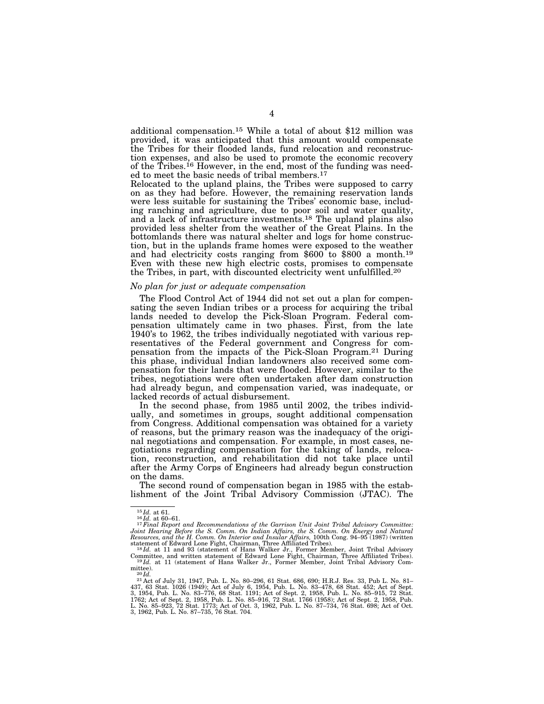additional compensation.15 While a total of about \$12 million was provided, it was anticipated that this amount would compensate the Tribes for their flooded lands, fund relocation and reconstruction expenses, and also be used to promote the economic recovery of the Tribes.<sup>16</sup> However, in the end, most of the funding was needed to meet the basic needs of tribal members.17

Relocated to the upland plains, the Tribes were supposed to carry on as they had before. However, the remaining reservation lands were less suitable for sustaining the Tribes' economic base, including ranching and agriculture, due to poor soil and water quality, and a lack of infrastructure investments.18 The upland plains also provided less shelter from the weather of the Great Plains. In the bottomlands there was natural shelter and logs for home construction, but in the uplands frame homes were exposed to the weather and had electricity costs ranging from \$600 to \$800 a month.19 Even with these new high electric costs, promises to compensate the Tribes, in part, with discounted electricity went unfulfilled.20

#### *No plan for just or adequate compensation*

The Flood Control Act of 1944 did not set out a plan for compensating the seven Indian tribes or a process for acquiring the tribal lands needed to develop the Pick-Sloan Program. Federal compensation ultimately came in two phases. First, from the late 1940's to 1962, the tribes individually negotiated with various representatives of the Federal government and Congress for compensation from the impacts of the Pick-Sloan Program.21 During this phase, individual Indian landowners also received some compensation for their lands that were flooded. However, similar to the tribes, negotiations were often undertaken after dam construction had already begun, and compensation varied, was inadequate, or lacked records of actual disbursement.

In the second phase, from 1985 until 2002, the tribes individually, and sometimes in groups, sought additional compensation from Congress. Additional compensation was obtained for a variety of reasons, but the primary reason was the inadequacy of the original negotiations and compensation. For example, in most cases, negotiations regarding compensation for the taking of lands, relocation, reconstruction, and rehabilitation did not take place until after the Army Corps of Engineers had already begun construction on the dams.

The second round of compensation began in 1985 with the establishment of the Joint Tribal Advisory Commission (JTAC). The

<sup>&</sup>lt;sup>15</sup>*Id.* at 61.<br><sup>16</sup>*Id.* at 60–61.<br><sup>17</sup> Final Report and Recommendations of the Garrison Unit Joint Tribal Advisory Committee:<br>Joint Hearing Before the S. Comm. On Indian Affairs, the S. Comm. On Energy and Natural<br>Reso statement of Edward Lone Fight, Chairman, Three Affiliated Tribes). 18 *Id.* at 11 and 93 (statement of Hans Walker Jr., Former Member, Joint Tribal Advisory

Committee, and written statement of Edward Lone Fight, Chairman, Three Affiliated Tribes). 19 *Id.* at 11 (statement of Hans Walker Jr., Former Member, Joint Tribal Advisory Com-

mittee).<br><sup>20</sup>*Id.*<br>21 Act of July 31, 1947, Pub. L. No. 80–296, 61 Stat. 686, 690; H.R.J. Res. 33, Pub L. No. 81–<br>437, 63 Stat. 1026 (1949); Act of July 6, 1954, Pub. L. No. 83–478, 68 Stat. 452; Act of Sept.<br>3, 1954, Pub. 1762; Act of Sept. 2, 1958, Pub. L. No. 85–916, 72 Stat. 1766 (1958); Act of Sept. 2, 1958, Pub.<br>L. No. 85–923, 72 Stat. 1773; Act of Oct. 3, 1962, Pub. L. No. 87–734, 76 Stat. 698; Act of Oct.<br>3, 1962, Pub. L. No. 87–735,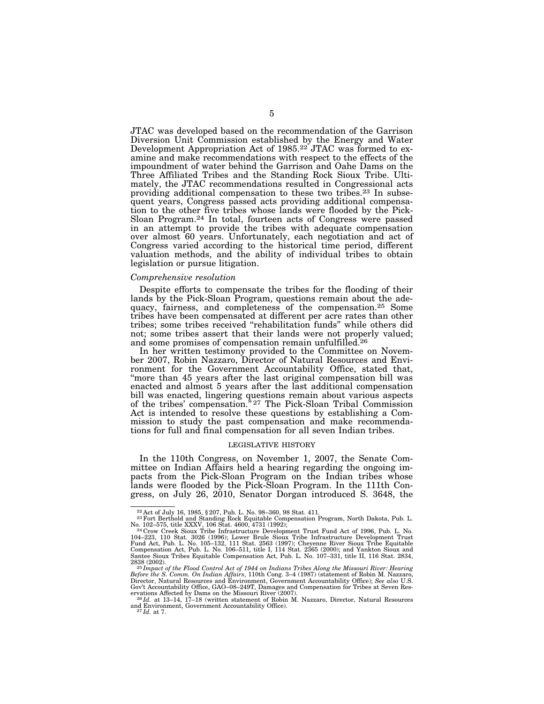JTAC was developed based on the recommendation of the Garrison Diversion Unit Commission established by the Energy and Water Development Appropriation Act of 1985.<sup>22</sup> JTAC was formed to examine and make recommendations with respect to the effects of the impoundment of water behind the Garrison and Oahe Dams on the Three Affiliated Tribes and the Standing Rock Sioux Tribe. Ultimately, the JTAC recommendations resulted in Congressional acts providing additional compensation to these two tribes.23 In subsequent years, Congress passed acts providing additional compensation to the other five tribes whose lands were flooded by the Pick-Sloan Program.24 In total, fourteen acts of Congress were passed in an attempt to provide the tribes with adequate compensation over almost 60 years. Unfortunately, each negotiation and act of Congress varied according to the historical time period, different valuation methods, and the ability of individual tribes to obtain legislation or pursue litigation.

#### *Comprehensive resolution*

Despite efforts to compensate the tribes for the flooding of their lands by the Pick-Sloan Program, questions remain about the adequacy, fairness, and completeness of the compensation.25 Some tribes have been compensated at different per acre rates than other tribes; some tribes received ''rehabilitation funds'' while others did not; some tribes assert that their lands were not properly valued; and some promises of compensation remain unfulfilled.<sup>26</sup>

In her written testimony provided to the Committee on November 2007, Robin Nazzaro, Director of Natural Resources and Environment for the Government Accountability Office, stated that, "more than 45 years after the last original compensation bill was enacted and almost 5 years after the last additional compensation bill was enacted, lingering questions remain about various aspects of the tribes' compensation."<sup>27</sup> The Pick-Sloan Tribal Commission Act is intended to resolve these questions by establishing a Commission to study the past compensation and make recommendations for full and final compensation for all seven Indian tribes.

## LEGISLATIVE HISTORY

In the 110th Congress, on November 1, 2007, the Senate Committee on Indian Affairs held a hearing regarding the ongoing impacts from the Pick-Sloan Program on the Indian tribes whose lands were flooded by the Pick-Sloan Program. In the 111th Congress, on July 26, 2010, Senator Dorgan introduced S. 3648, the

<sup>22</sup> Act of July 16, 1985, § 207, Pub. L. No. 98–360, 98 Stat. 411. 23Fort Berthold and Standing Rock Equitable Compensation Program, North Dakota, Pub. L.

No. 102–575, title XXXV, 106 Stat. 4600, 4731 (1992);<br><sup>24</sup> Crow Creek Sioux Tribe Infrastructure Development Trust Fund Act of 1996, Pub. L. No.<br>104–223, 110 Stat. 3026 (1996); Lower Brule Sioux Tribe Infrastructure Develo

<sup>2838 (2002). 25</sup> *Impact of the Flood Control Act of 1944 on Indians Tribes Along the Missouri River: Hearing Before the S. Comm. On Indian Affairs*, 110th Cong. 3–4 (1987) (statement of Robin M. Nazzaro, Director, Natural Resources and Environment, Government Accountability Office); See also U.S.<br>Gov't Accountability Office, GAO–08–249T, Damages and Compensation for Tribes at Seven Res-<br>ervations Affected by Dams on the M

and Environment, Government Accountability Office). 27 *Id.* at 7.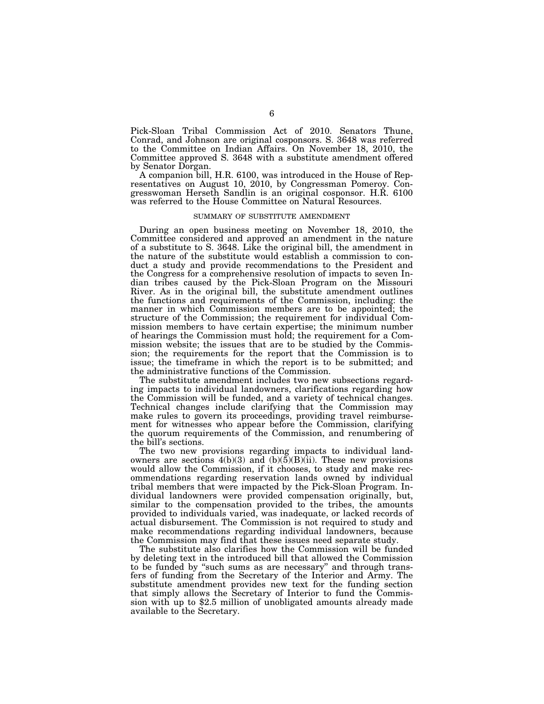Pick-Sloan Tribal Commission Act of 2010. Senators Thune, Conrad, and Johnson are original cosponsors. S. 3648 was referred to the Committee on Indian Affairs. On November 18, 2010, the Committee approved S. 3648 with a substitute amendment offered by Senator Dorgan.

A companion bill, H.R. 6100, was introduced in the House of Representatives on August 10, 2010, by Congressman Pomeroy. Congresswoman Herseth Sandlin is an original cosponsor. H.R. 6100 was referred to the House Committee on Natural Resources.

#### SUMMARY OF SUBSTITUTE AMENDMENT

During an open business meeting on November 18, 2010, the Committee considered and approved an amendment in the nature of a substitute to S. 3648. Like the original bill, the amendment in the nature of the substitute would establish a commission to conduct a study and provide recommendations to the President and the Congress for a comprehensive resolution of impacts to seven Indian tribes caused by the Pick-Sloan Program on the Missouri River. As in the original bill, the substitute amendment outlines the functions and requirements of the Commission, including: the manner in which Commission members are to be appointed; the structure of the Commission; the requirement for individual Commission members to have certain expertise; the minimum number of hearings the Commission must hold; the requirement for a Commission website; the issues that are to be studied by the Commission; the requirements for the report that the Commission is to issue; the timeframe in which the report is to be submitted; and the administrative functions of the Commission.

The substitute amendment includes two new subsections regarding impacts to individual landowners, clarifications regarding how the Commission will be funded, and a variety of technical changes. Technical changes include clarifying that the Commission may make rules to govern its proceedings, providing travel reimbursement for witnesses who appear before the Commission, clarifying the quorum requirements of the Commission, and renumbering of the bill's sections.

The two new provisions regarding impacts to individual landowners are sections  $4(b)(3)$  and  $(b)(\overline{5})(B)(\overline{1}i)$ . These new provisions would allow the Commission, if it chooses, to study and make recommendations regarding reservation lands owned by individual tribal members that were impacted by the Pick-Sloan Program. Individual landowners were provided compensation originally, but, similar to the compensation provided to the tribes, the amounts provided to individuals varied, was inadequate, or lacked records of actual disbursement. The Commission is not required to study and make recommendations regarding individual landowners, because the Commission may find that these issues need separate study.

The substitute also clarifies how the Commission will be funded by deleting text in the introduced bill that allowed the Commission to be funded by ''such sums as are necessary'' and through transfers of funding from the Secretary of the Interior and Army. The substitute amendment provides new text for the funding section that simply allows the Secretary of Interior to fund the Commission with up to \$2.5 million of unobligated amounts already made available to the Secretary.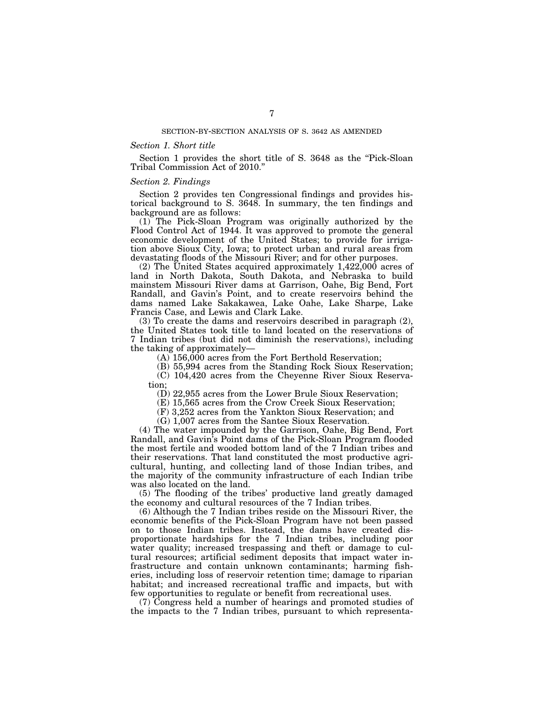#### *Section 1. Short title*

Section 1 provides the short title of S. 3648 as the "Pick-Sloan" Tribal Commission Act of 2010.''

## *Section 2. Findings*

Section 2 provides ten Congressional findings and provides historical background to S. 3648. In summary, the ten findings and background are as follows:

(1) The Pick-Sloan Program was originally authorized by the Flood Control Act of 1944. It was approved to promote the general economic development of the United States; to provide for irrigation above Sioux City, Iowa; to protect urban and rural areas from devastating floods of the Missouri River; and for other purposes.

(2) The United States acquired approximately 1,422,000 acres of land in North Dakota, South Dakota, and Nebraska to build mainstem Missouri River dams at Garrison, Oahe, Big Bend, Fort Randall, and Gavin's Point, and to create reservoirs behind the dams named Lake Sakakawea, Lake Oahe, Lake Sharpe, Lake Francis Case, and Lewis and Clark Lake.

(3) To create the dams and reservoirs described in paragraph (2), the United States took title to land located on the reservations of 7 Indian tribes (but did not diminish the reservations), including the taking of approximately—

(A) 156,000 acres from the Fort Berthold Reservation;

(B) 55,994 acres from the Standing Rock Sioux Reservation; (C) 104,420 acres from the Cheyenne River Sioux Reservation;

(D) 22,955 acres from the Lower Brule Sioux Reservation;

(E) 15,565 acres from the Crow Creek Sioux Reservation;

(F) 3,252 acres from the Yankton Sioux Reservation; and

(G) 1,007 acres from the Santee Sioux Reservation.

(4) The water impounded by the Garrison, Oahe, Big Bend, Fort Randall, and Gavin's Point dams of the Pick-Sloan Program flooded the most fertile and wooded bottom land of the 7 Indian tribes and their reservations. That land constituted the most productive agricultural, hunting, and collecting land of those Indian tribes, and the majority of the community infrastructure of each Indian tribe was also located on the land.

(5) The flooding of the tribes' productive land greatly damaged the economy and cultural resources of the 7 Indian tribes.

(6) Although the 7 Indian tribes reside on the Missouri River, the economic benefits of the Pick-Sloan Program have not been passed on to those Indian tribes. Instead, the dams have created disproportionate hardships for the 7 Indian tribes, including poor water quality; increased trespassing and theft or damage to cultural resources; artificial sediment deposits that impact water infrastructure and contain unknown contaminants; harming fisheries, including loss of reservoir retention time; damage to riparian habitat; and increased recreational traffic and impacts, but with few opportunities to regulate or benefit from recreational uses.

(7) Congress held a number of hearings and promoted studies of the impacts to the 7 Indian tribes, pursuant to which representa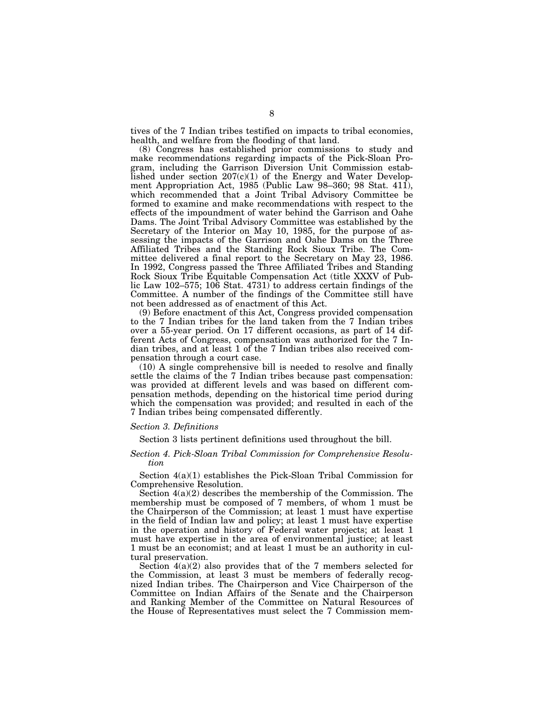tives of the 7 Indian tribes testified on impacts to tribal economies, health, and welfare from the flooding of that land.

(8) Congress has established prior commissions to study and make recommendations regarding impacts of the Pick-Sloan Program, including the Garrison Diversion Unit Commission established under section  $207(c)(1)$  of the Energy and Water Development Appropriation Act, 1985 (Public Law 98-360; 98 Stat. 411), which recommended that a Joint Tribal Advisory Committee be formed to examine and make recommendations with respect to the effects of the impoundment of water behind the Garrison and Oahe Dams. The Joint Tribal Advisory Committee was established by the Secretary of the Interior on May 10, 1985, for the purpose of assessing the impacts of the Garrison and Oahe Dams on the Three Affiliated Tribes and the Standing Rock Sioux Tribe. The Committee delivered a final report to the Secretary on May 23, 1986. In 1992, Congress passed the Three Affiliated Tribes and Standing Rock Sioux Tribe Equitable Compensation Act (title XXXV of Public Law 102–575; 106 Stat. 4731) to address certain findings of the Committee. A number of the findings of the Committee still have not been addressed as of enactment of this Act.

(9) Before enactment of this Act, Congress provided compensation to the 7 Indian tribes for the land taken from the 7 Indian tribes over a 55-year period. On 17 different occasions, as part of 14 different Acts of Congress, compensation was authorized for the 7 Indian tribes, and at least 1 of the 7 Indian tribes also received compensation through a court case.

(10) A single comprehensive bill is needed to resolve and finally settle the claims of the 7 Indian tribes because past compensation: was provided at different levels and was based on different compensation methods, depending on the historical time period during which the compensation was provided; and resulted in each of the 7 Indian tribes being compensated differently.

#### *Section 3. Definitions*

Section 3 lists pertinent definitions used throughout the bill.

## *Section 4. Pick-Sloan Tribal Commission for Comprehensive Resolution*

Section 4(a)(1) establishes the Pick-Sloan Tribal Commission for Comprehensive Resolution.

Section 4(a)(2) describes the membership of the Commission. The membership must be composed of 7 members, of whom 1 must be the Chairperson of the Commission; at least 1 must have expertise in the field of Indian law and policy; at least 1 must have expertise in the operation and history of Federal water projects; at least 1 must have expertise in the area of environmental justice; at least 1 must be an economist; and at least 1 must be an authority in cultural preservation.

Section 4(a)(2) also provides that of the 7 members selected for the Commission, at least 3 must be members of federally recognized Indian tribes. The Chairperson and Vice Chairperson of the Committee on Indian Affairs of the Senate and the Chairperson and Ranking Member of the Committee on Natural Resources of the House of Representatives must select the 7 Commission mem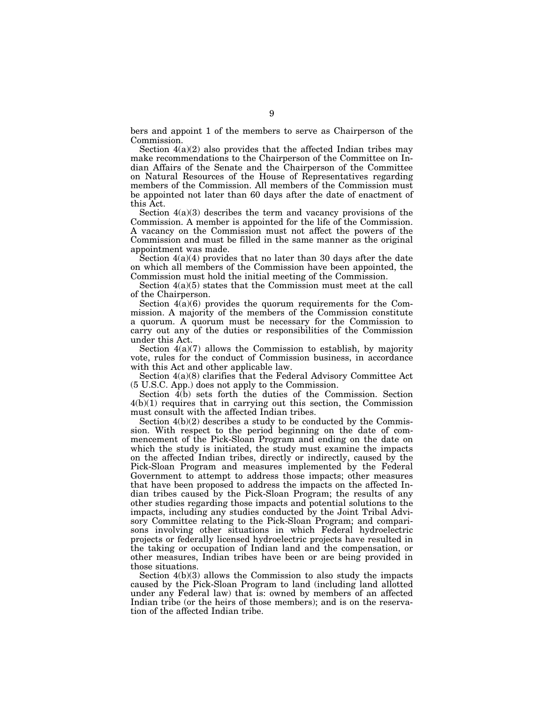bers and appoint 1 of the members to serve as Chairperson of the Commission.

Section  $4(a)(2)$  also provides that the affected Indian tribes may make recommendations to the Chairperson of the Committee on Indian Affairs of the Senate and the Chairperson of the Committee on Natural Resources of the House of Representatives regarding members of the Commission. All members of the Commission must be appointed not later than 60 days after the date of enactment of this Act.

Section 4(a)(3) describes the term and vacancy provisions of the Commission. A member is appointed for the life of the Commission. A vacancy on the Commission must not affect the powers of the Commission and must be filled in the same manner as the original appointment was made.

Section 4(a)(4) provides that no later than 30 days after the date on which all members of the Commission have been appointed, the Commission must hold the initial meeting of the Commission.

Section 4(a)(5) states that the Commission must meet at the call of the Chairperson.

Section  $4(a)(6)$  provides the quorum requirements for the Commission. A majority of the members of the Commission constitute a quorum. A quorum must be necessary for the Commission to carry out any of the duties or responsibilities of the Commission under this Act.

Section  $4(a)(7)$  allows the Commission to establish, by majority vote, rules for the conduct of Commission business, in accordance with this Act and other applicable law.

Section  $4(a)(8)$  clarifies that the Federal Advisory Committee Act (5 U.S.C. App.) does not apply to the Commission.

Section 4(b) sets forth the duties of the Commission. Section  $4(b)(1)$  requires that in carrying out this section, the Commission must consult with the affected Indian tribes.

Section 4(b)(2) describes a study to be conducted by the Commission. With respect to the period beginning on the date of commencement of the Pick-Sloan Program and ending on the date on which the study is initiated, the study must examine the impacts on the affected Indian tribes, directly or indirectly, caused by the Pick-Sloan Program and measures implemented by the Federal Government to attempt to address those impacts; other measures that have been proposed to address the impacts on the affected Indian tribes caused by the Pick-Sloan Program; the results of any other studies regarding those impacts and potential solutions to the impacts, including any studies conducted by the Joint Tribal Advisory Committee relating to the Pick-Sloan Program; and comparisons involving other situations in which Federal hydroelectric projects or federally licensed hydroelectric projects have resulted in the taking or occupation of Indian land and the compensation, or other measures, Indian tribes have been or are being provided in those situations.

Section  $4(b)(3)$  allows the Commission to also study the impacts caused by the Pick-Sloan Program to land (including land allotted under any Federal law) that is: owned by members of an affected Indian tribe (or the heirs of those members); and is on the reservation of the affected Indian tribe.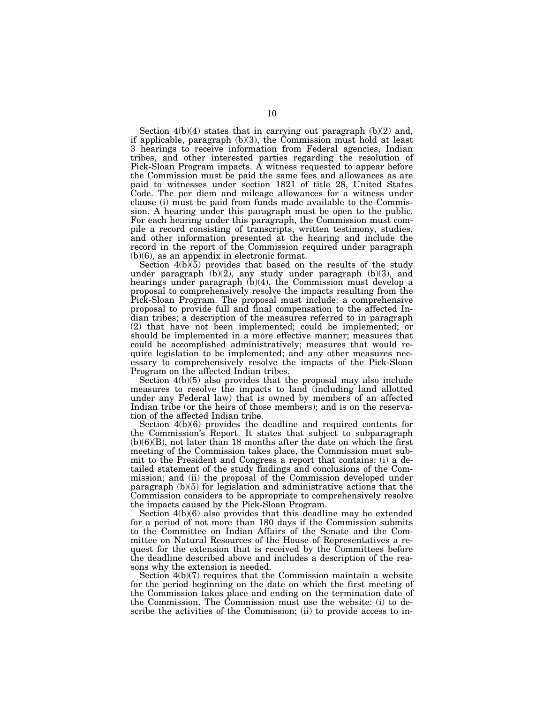Section  $4(b)(4)$  states that in carrying out paragraph  $(b)(2)$  and, if applicable, paragraph (b)(3), the Commission must hold at least 3 hearings to receive information from Federal agencies, Indian tribes, and other interested parties regarding the resolution of Pick-Sloan Program impacts. A witness requested to appear before the Commission must be paid the same fees and allowances as are paid to witnesses under section 1821 of title 28, United States Code. The per diem and mileage allowances for a witness under clause (i) must be paid from funds made available to the Commission. A hearing under this paragraph must be open to the public. For each hearing under this paragraph, the Commission must compile a record consisting of transcripts, written testimony, studies, and other information presented at the hearing and include the record in the report of the Commission required under paragraph (b)(6), as an appendix in electronic format.

Section 4(b)(5) provides that based on the results of the study under paragraph (b)(2), any study under paragraph (b)(3), and hearings under paragraph (b)(4), the Commission must develop a proposal to comprehensively resolve the impacts resulting from the Pick-Sloan Program. The proposal must include: a comprehensive proposal to provide full and final compensation to the affected Indian tribes; a description of the measures referred to in paragraph (2) that have not been implemented; could be implemented; or should be implemented in a more effective manner; measures that could be accomplished administratively; measures that would require legislation to be implemented; and any other measures necessary to comprehensively resolve the impacts of the Pick-Sloan Program on the affected Indian tribes.

Section 4(b)(5) also provides that the proposal may also include measures to resolve the impacts to land (including land allotted under any Federal law) that is owned by members of an affected Indian tribe (or the heirs of those members); and is on the reservation of the affected Indian tribe.

Section 4(b)(6) provides the deadline and required contents for the Commission's Report. It states that subject to subparagraph (b)(6)(B), not later than 18 months after the date on which the first meeting of the Commission takes place, the Commission must submit to the President and Congress a report that contains: (i) a detailed statement of the study findings and conclusions of the Commission; and (ii) the proposal of the Commission developed under paragraph (b)(5) for legislation and administrative actions that the Commission considers to be appropriate to comprehensively resolve the impacts caused by the Pick-Sloan Program.

Section 4(b)(6) also provides that this deadline may be extended for a period of not more than 180 days if the Commission submits to the Committee on Indian Affairs of the Senate and the Committee on Natural Resources of the House of Representatives a request for the extension that is received by the Committees before the deadline described above and includes a description of the reasons why the extension is needed.

Section 4(b)(7) requires that the Commission maintain a website for the period beginning on the date on which the first meeting of the Commission takes place and ending on the termination date of the Commission. The Commission must use the website: (i) to describe the activities of the Commission; (ii) to provide access to in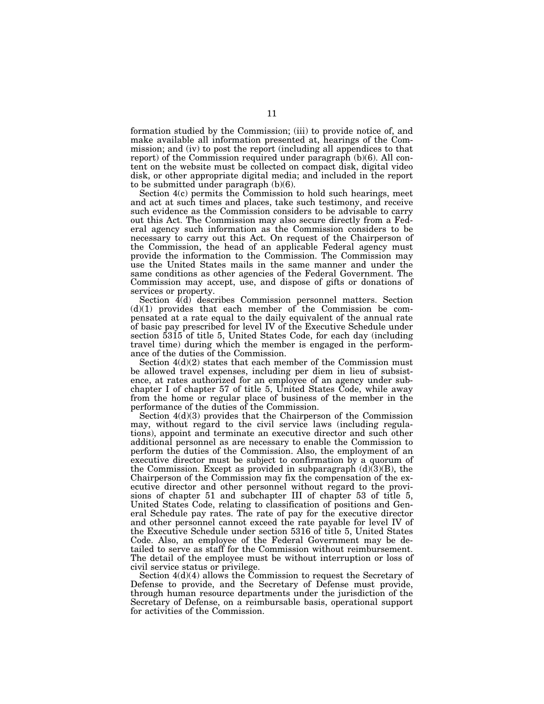formation studied by the Commission; (iii) to provide notice of, and make available all information presented at, hearings of the Commission; and (iv) to post the report (including all appendices to that report) of the Commission required under paragraph (b)(6). All content on the website must be collected on compact disk, digital video disk, or other appropriate digital media; and included in the report to be submitted under paragraph (b)(6).

Section 4(c) permits the Commission to hold such hearings, meet and act at such times and places, take such testimony, and receive such evidence as the Commission considers to be advisable to carry out this Act. The Commission may also secure directly from a Federal agency such information as the Commission considers to be necessary to carry out this Act. On request of the Chairperson of the Commission, the head of an applicable Federal agency must provide the information to the Commission. The Commission may use the United States mails in the same manner and under the same conditions as other agencies of the Federal Government. The Commission may accept, use, and dispose of gifts or donations of services or property.

Section 4(d) describes Commission personnel matters. Section (d)(1) provides that each member of the Commission be compensated at a rate equal to the daily equivalent of the annual rate of basic pay prescribed for level IV of the Executive Schedule under section 5315 of title 5, United States Code, for each day (including travel time) during which the member is engaged in the performance of the duties of the Commission.

Section  $4(d)(2)$  states that each member of the Commission must be allowed travel expenses, including per diem in lieu of subsistence, at rates authorized for an employee of an agency under subchapter I of chapter 57 of title 5, United States Code, while away from the home or regular place of business of the member in the performance of the duties of the Commission.

Section 4(d)(3) provides that the Chairperson of the Commission may, without regard to the civil service laws (including regulations), appoint and terminate an executive director and such other additional personnel as are necessary to enable the Commission to perform the duties of the Commission. Also, the employment of an executive director must be subject to confirmation by a quorum of the Commission. Except as provided in subparagraph  $(d)(3)(B)$ , the Chairperson of the Commission may fix the compensation of the executive director and other personnel without regard to the provisions of chapter 51 and subchapter III of chapter 53 of title 5, United States Code, relating to classification of positions and General Schedule pay rates. The rate of pay for the executive director and other personnel cannot exceed the rate payable for level IV of the Executive Schedule under section 5316 of title 5, United States Code. Also, an employee of the Federal Government may be detailed to serve as staff for the Commission without reimbursement. The detail of the employee must be without interruption or loss of civil service status or privilege.

Section 4(d)(4) allows the Commission to request the Secretary of Defense to provide, and the Secretary of Defense must provide, through human resource departments under the jurisdiction of the Secretary of Defense, on a reimbursable basis, operational support for activities of the Commission.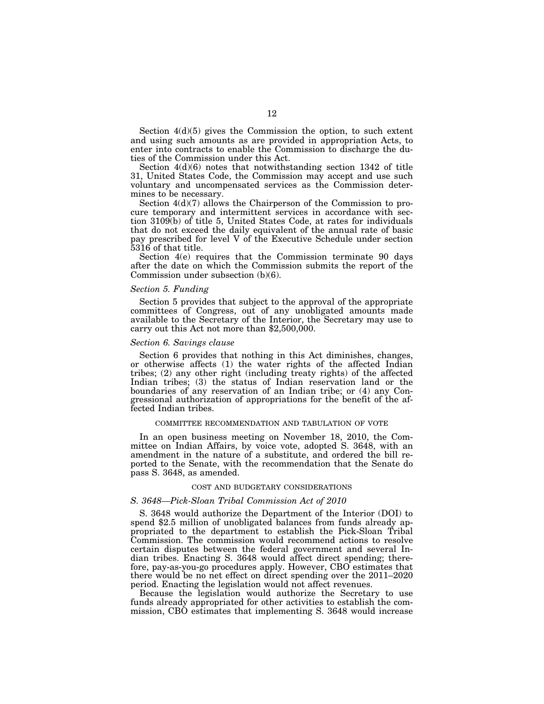Section  $4(d)(5)$  gives the Commission the option, to such extent and using such amounts as are provided in appropriation Acts, to enter into contracts to enable the Commission to discharge the duties of the Commission under this Act.

Section  $4(d)(6)$  notes that notwithstanding section 1342 of title 31, United States Code, the Commission may accept and use such voluntary and uncompensated services as the Commission determines to be necessary.

Section  $4(d)(7)$  allows the Chairperson of the Commission to procure temporary and intermittent services in accordance with section 3109(b) of title 5, United States Code, at rates for individuals that do not exceed the daily equivalent of the annual rate of basic pay prescribed for level V of the Executive Schedule under section 5316 of that title.

Section 4(e) requires that the Commission terminate 90 days after the date on which the Commission submits the report of the Commission under subsection (b)(6).

## *Section 5. Funding*

Section 5 provides that subject to the approval of the appropriate committees of Congress, out of any unobligated amounts made available to the Secretary of the Interior, the Secretary may use to carry out this Act not more than \$2,500,000.

#### *Section 6. Savings clause*

Section 6 provides that nothing in this Act diminishes, changes, or otherwise affects (1) the water rights of the affected Indian tribes; (2) any other right (including treaty rights) of the affected Indian tribes; (3) the status of Indian reservation land or the boundaries of any reservation of an Indian tribe; or (4) any Congressional authorization of appropriations for the benefit of the affected Indian tribes.

## COMMITTEE RECOMMENDATION AND TABULATION OF VOTE

In an open business meeting on November 18, 2010, the Committee on Indian Affairs, by voice vote, adopted S. 3648, with an amendment in the nature of a substitute, and ordered the bill reported to the Senate, with the recommendation that the Senate do pass S. 3648, as amended.

#### COST AND BUDGETARY CONSIDERATIONS

## *S. 3648—Pick-Sloan Tribal Commission Act of 2010*

S. 3648 would authorize the Department of the Interior (DOI) to spend \$2.5 million of unobligated balances from funds already appropriated to the department to establish the Pick-Sloan Tribal Commission. The commission would recommend actions to resolve certain disputes between the federal government and several Indian tribes. Enacting S. 3648 would affect direct spending; therefore, pay-as-you-go procedures apply. However, CBO estimates that there would be no net effect on direct spending over the 2011–2020 period. Enacting the legislation would not affect revenues.

Because the legislation would authorize the Secretary to use funds already appropriated for other activities to establish the commission, CBO estimates that implementing S. 3648 would increase